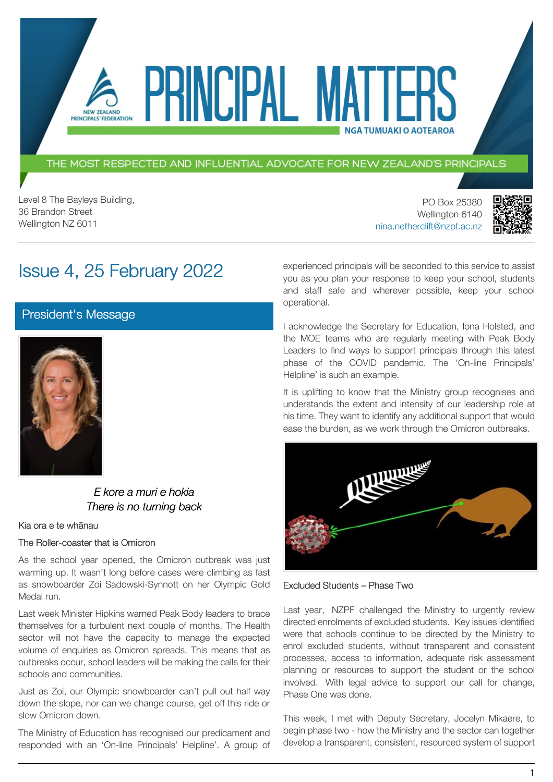THE MOST RESPECTED AND INFLUENTIAL ADVOCATE FOR NEW ZEALAND'S PRINCIPALS

PRINCIPAI MA

Level 8 The Bayleys Building, 36 Brandon Street Wellington NZ 6011

NEW ZEALAND PRINCIPALS' FEDERATION

> PO Box 25380 Wellington 6140 [nina.netherclift@nzpf.ac.nz](mailto:mailto:nina.netherclift@nzpf.ac.nz)



# Issue 4, 25 February 2022

[President's Message](https://nzpf.schoolzineplus.com/newsletter/article/491?skin=1)



*E kore a muri e hokia There is no turning back*

#### Kia ora e te whānau

The Roller-coaster that is Omicron

As the school year opened, the Omicron outbreak was just warming up. It wasn't long before cases were climbing as fast as snowboarder Zoi Sadowski-Synnott on her Olympic Gold Medal run.

Last week Minister Hipkins warned Peak Body leaders to brace themselves for a turbulent next couple of months. The Health sector will not have the capacity to manage the expected volume of enquiries as Omicron spreads. This means that as outbreaks occur, school leaders will be making the calls for their schools and communities.

Just as Zoi, our Olympic snowboarder can't pull out half way down the slope, nor can we change course, get off this ride or slow Omicron down.

The Ministry of Education has recognised our predicament and responded with an 'On-line Principals' Helpline'. A group of experienced principals will be seconded to this service to assist you as you plan your response to keep your school, students and staff safe and wherever possible, keep your school operational.

**NGÅ TUMUAKI O AOTEAROA** 

I acknowledge the Secretary for Education, Iona Holsted, and the MOE teams who are regularly meeting with Peak Body Leaders to find ways to support principals through this latest phase of the COVID pandemic. The 'On-line Principals' Helpline' is such an example.

It is uplifting to know that the Ministry group recognises and understands the extent and intensity of our leadership role at his time. They want to identify any additional support that would ease the burden, as we work through the Omicron outbreaks.



Excluded Students – Phase Two

Last year, NZPF challenged the Ministry to urgently review directed enrolments of excluded students. Key issues identified were that schools continue to be directed by the Ministry to enrol excluded students, without transparent and consistent processes, access to information, adequate risk assessment planning or resources to support the student or the school involved. With legal advice to support our call for change, Phase One was done.

This week, I met with Deputy Secretary, Jocelyn Mikaere, to begin phase two - how the Ministry and the sector can together develop a transparent, consistent, resourced system of support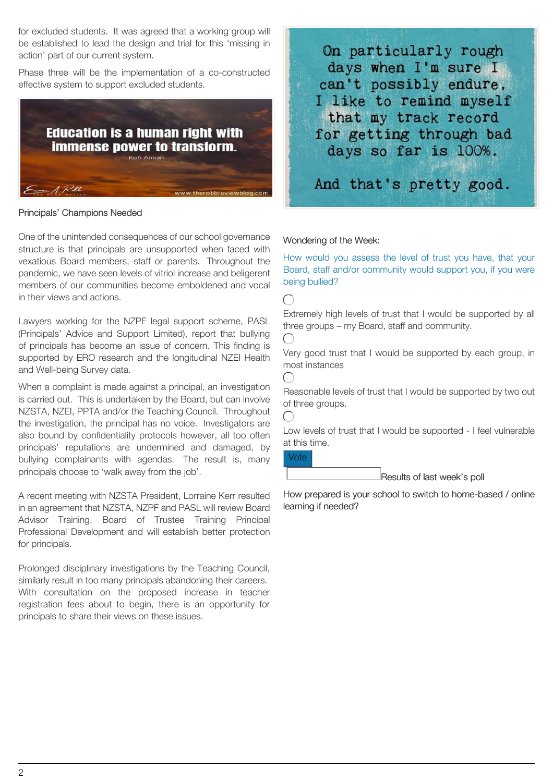for excluded students. It was agreed that a working group will be established to lead the design and trial for this 'missing in action' part of our current system.

Phase three will be the implementation of a co-constructed effective system to support excluded students.



#### Principals' Champions Needed

One of the unintended consequences of our school governance structure is that principals are unsupported when faced with vexatious Board members, staff or parents. Throughout the pandemic, we have seen levels of vitriol increase and beligerent members of our communities become emboldened and vocal in their views and actions.

Lawyers working for the NZPF legal support scheme, PASL (Principals' Advice and Support Limited), report that bullying of principals has become an issue of concern. This finding is supported by ERO research and the longitudinal NZEI Health and Well-being Survey data.

When a complaint is made against a principal, an investigation is carried out. This is undertaken by the Board, but can involve NZSTA, NZEI, PPTA and/or the Teaching Council. Throughout the investigation, the principal has no voice. Investigators are also bound by confidentiality protocols however, all too often principals' reputations are undermined and damaged, by bullying complainants with agendas. The result is, many principals choose to 'walk away from the job'.

A recent meeting with NZSTA President, Lorraine Kerr resulted in an agreement that NZSTA, NZPF and PASL will review Board Advisor Training, Board of Trustee Training Principal Professional Development and will establish better protection for principals.

Prolonged disciplinary investigations by the Teaching Council, similarly result in too many principals abandoning their careers. With consultation on the proposed increase in teacher registration fees about to begin, there is an opportunity for principals to share their views on these issues.

On particularly rough days when I'm sure I can't possibly endure, I like to remind myself that my track record for getting through bad days so far is 100%.

And that's pretty good.

#### Wondering of the Week:

How would you assess the level of trust you have, that your Board, staff and/or community would support you, if you were being bullied?

 $\bigcap$ 

Extremely high levels of trust that I would be supported by all three groups – my Board, staff and community.



 $\bigcap$ 

Very good trust that I would be supported by each group, in most instances

Reasonable levels of trust that I would be supported by two out of three groups.

 $\left( \begin{array}{c} \end{array} \right)$ 

Low levels of trust that I would be supported - I feel vulnerable at this time.

Vote

Results of last week's poll

How prepared is your school to switch to home-based / online learning if needed?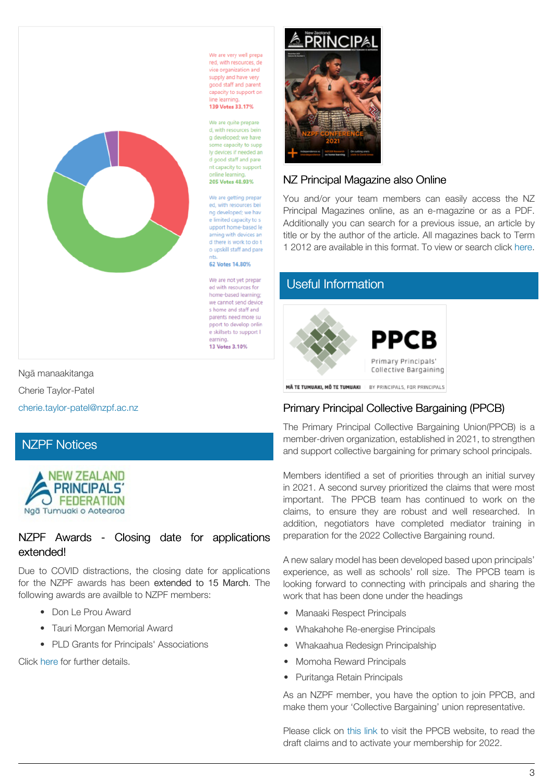

We are very well prepa red, with resources, de vice organization and supply and have very good staff and parent capacity to support on line learnin 139 Votes 33.17%

We are quite prepare d. with resources bein g developed: we have some capacity to supp ly devices if needed an d good staff and pare nt capacity to support onling loarnis 205 Votes 48 93%

We are getting prepar ed, with resources bei ng developed: we hav e limited capacity to s upport home-based le arning with devices an d there is work to do t o upskill staff and pare

62 Votes 14.80%

We are not yet prepar ed with resources for home-based learning; we cannot send device s home and staff and parents need more su pport to develop onlin e skillsets to support I arning. 13 Votes 3, 10%



### NZ Principal Magazine also Online

You and/or your team members can easily access the NZ Principal Magazines online, as an e-magazine or as a PDF. Additionally you can search for a previous issue, an article by title or by the author of the article. All magazines back to Term 1 2012 are available in this format. To view or search click [here.](http://nzprincipal.co.nz/view-the-magazine/)

# [Useful Information](https://nzpf.schoolzineplus.com/newsletter/article/493?skin=1)



Ngā manaakitanga

Cherie Taylor-Patel

[cherie.taylor-patel@nzpf.ac.nz](mailto:cherie.taylor-patel@nzpf.ac.nz)

### [NZPF Notices](https://nzpf.schoolzineplus.com/newsletter/article/492?skin=1)



#### NZPF Awards - Closing date for applications extended!

Due to COVID distractions, the closing date for applications for the NZPF awards has been extended to 15 March. The following awards are availble to NZPF members:

- Don Le Prou Award
- Tauri Morgan Memorial Award
- PLD Grants for Principals' Associations

Click [here](https://nzpf.us13.list-manage.com/track/click?u=fa20eca115cfcba6a5e25b02f&id=f36d84b628&e=feb016e9b0) for further details.

# Primary Principal Collective Bargaining (PPCB)

The Primary Principal Collective Bargaining Union(PPCB) is a member-driven organization, established in 2021, to strengthen and support collective bargaining for primary school principals.

Members identified a set of priorities through an initial survey in 2021. A second survey prioritized the claims that were most important. The PPCB team has continued to work on the claims, to ensure they are robust and well researched. In addition, negotiators have completed mediator training in preparation for the 2022 Collective Bargaining round.

A new salary model has been developed based upon principals' experience, as well as schools' roll size. The PPCB team is looking forward to connecting with principals and sharing the work that has been done under the headings

- Manaaki Respect Principals
- Whakahohe Re-energise Principals
- Whakaahua Redesign Principalship
- Momoha Reward Principals
- Puritanga Retain Principals

As an NZPF member, you have the option to join PPCB, and make them your 'Collective Bargaining' union representative.

Please click on [this](https://ppcb.nz/join-ppcb/) link to visit the PPCB website, to read the draft claims and to activate your membership for 2022.